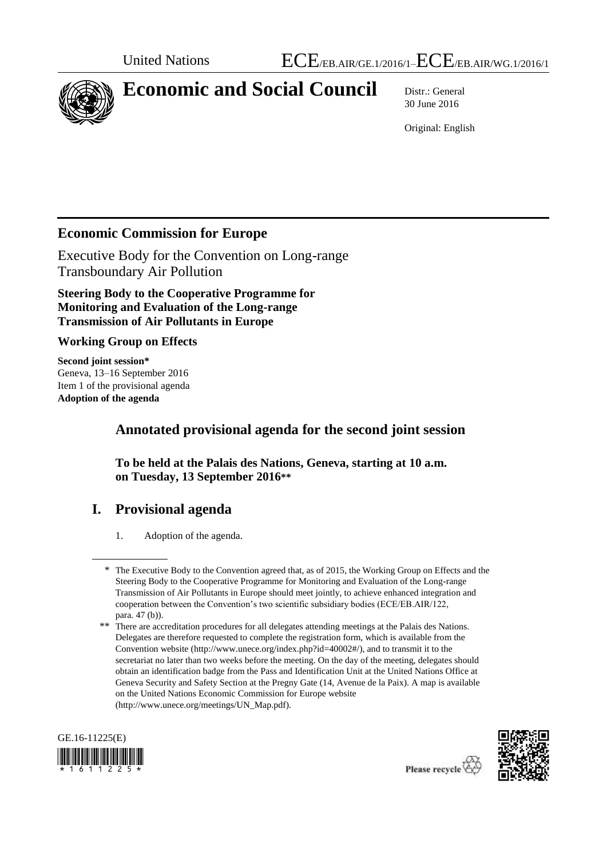

# **Economic and Social Council** Distr.: General

30 June 2016

Original: English

## **Economic Commission for Europe**

Executive Body for the Convention on Long-range Transboundary Air Pollution

**Steering Body to the Cooperative Programme for Monitoring and Evaluation of the Long-range Transmission of Air Pollutants in Europe**

**Working Group on Effects**

**Second joint session\*** Geneva, 13–16 September 2016 Item 1 of the provisional agenda **Adoption of the agenda**

## **Annotated provisional agenda for the second joint session**

**To be held at the Palais des Nations, Geneva, starting at 10 a.m. on Tuesday, 13 September 2016\*\***

## **I. Provisional agenda**

1. Adoption of the agenda.

<sup>\*\*</sup> There are accreditation procedures for all delegates attending meetings at the Palais des Nations. Delegates are therefore requested to complete the registration form, which is available from the Convention website [\(http://www.unece.org/index.php?id=40002#/\)](http://www.unece.org/index.php?id=40002#/), and to transmit it to the secretariat no later than two weeks before the meeting. On the day of the meeting, delegates should obtain an identification badge from the Pass and Identification Unit at the United Nations Office at Geneva Security and Safety Section at the Pregny Gate (14, Avenue de la Paix). A map is available on the United Nations Economic Commission for Europe website [\(http://www.unece.org/meetings/UN\\_Map.pdf\)](http://www.unece.org/meetings/UN_Map.pdf).





<sup>\*</sup> The Executive Body to the Convention agreed that, as of 2015, the Working Group on Effects and the Steering Body to the Cooperative Programme for Monitoring and Evaluation of the Long-range Transmission of Air Pollutants in Europe should meet jointly, to achieve enhanced integration and cooperation between the Convention's two scientific subsidiary bodies (ECE/EB.AIR/122, para. 47 (b)).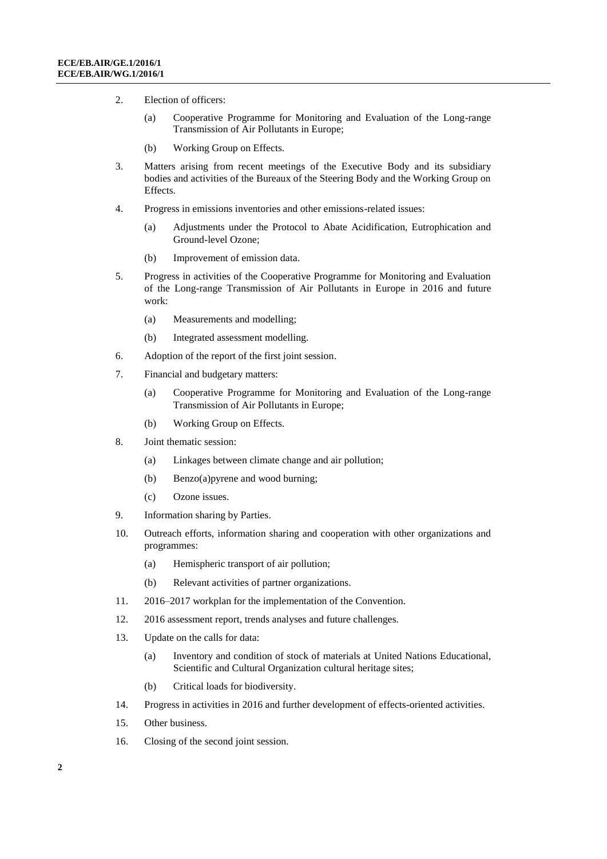- 2. Election of officers:
	- (a) Cooperative Programme for Monitoring and Evaluation of the Long-range Transmission of Air Pollutants in Europe;
	- (b) Working Group on Effects.
- 3. Matters arising from recent meetings of the Executive Body and its subsidiary bodies and activities of the Bureaux of the Steering Body and the Working Group on Effects.
- 4. Progress in emissions inventories and other emissions-related issues:
	- (a) Adjustments under the Protocol to Abate Acidification, Eutrophication and Ground-level Ozone;
	- (b) Improvement of emission data.
- 5. Progress in activities of the Cooperative Programme for Monitoring and Evaluation of the Long-range Transmission of Air Pollutants in Europe in 2016 and future work:
	- (a) Measurements and modelling;
	- (b) Integrated assessment modelling.
- 6. Adoption of the report of the first joint session.
- 7. Financial and budgetary matters:
	- (a) Cooperative Programme for Monitoring and Evaluation of the Long-range Transmission of Air Pollutants in Europe;
	- (b) Working Group on Effects.
- 8. Joint thematic session:
	- (a) Linkages between climate change and air pollution;
	- (b) Benzo(a)pyrene and wood burning;
	- (c) Ozone issues.
- 9. Information sharing by Parties.
- 10. Outreach efforts, information sharing and cooperation with other organizations and programmes:
	- (a) Hemispheric transport of air pollution;
	- (b) Relevant activities of partner organizations.
- 11. 2016–2017 workplan for the implementation of the Convention.
- 12. 2016 assessment report, trends analyses and future challenges.
- 13. Update on the calls for data:
	- (a) Inventory and condition of stock of materials at United Nations Educational, Scientific and Cultural Organization cultural heritage sites;
	- (b) Critical loads for biodiversity.
- 14. Progress in activities in 2016 and further development of effects-oriented activities.
- 15. Other business.
- 16. Closing of the second joint session.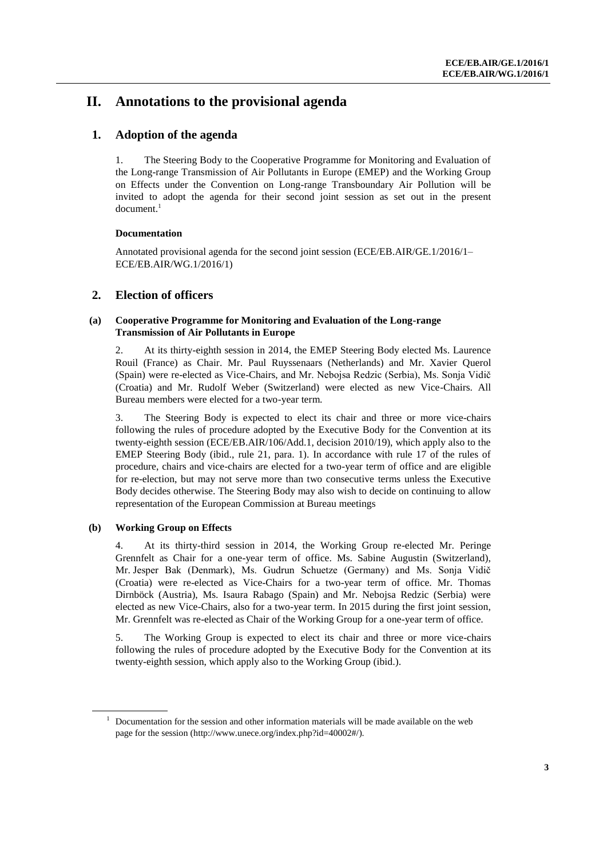## **II. Annotations to the provisional agenda**

## **1. Adoption of the agenda**

1. The Steering Body to the Cooperative Programme for Monitoring and Evaluation of the Long-range Transmission of Air Pollutants in Europe (EMEP) and the Working Group on Effects under the Convention on Long-range Transboundary Air Pollution will be invited to adopt the agenda for their second joint session as set out in the present  $document<sup>1</sup>$ 

#### **Documentation**

Annotated provisional agenda for the second joint session (ECE/EB.AIR/GE.1/2016/1– ECE/EB.AIR/WG.1/2016/1)

## **2. Election of officers**

#### **(a) Cooperative Programme for Monitoring and Evaluation of the Long-range Transmission of Air Pollutants in Europe**

2. At its thirty-eighth session in 2014, the EMEP Steering Body elected Ms. Laurence Rouil (France) as Chair. Mr. Paul Ruyssenaars (Netherlands) and Mr. Xavier Querol (Spain) were re-elected as Vice-Chairs, and Mr. Nebojsa Redzic (Serbia), Ms. Sonja Vidič (Croatia) and Mr. Rudolf Weber (Switzerland) were elected as new Vice-Chairs. All Bureau members were elected for a two-year term.

3. The Steering Body is expected to elect its chair and three or more vice-chairs following the rules of procedure adopted by the Executive Body for the Convention at its twenty-eighth session (ECE/EB.AIR/106/Add.1, decision 2010/19), which apply also to the EMEP Steering Body (ibid., rule 21, para. 1). In accordance with rule 17 of the rules of procedure, chairs and vice-chairs are elected for a two-year term of office and are eligible for re-election, but may not serve more than two consecutive terms unless the Executive Body decides otherwise. The Steering Body may also wish to decide on continuing to allow representation of the European Commission at Bureau meetings

### **(b) Working Group on Effects**

4. At its thirty-third session in 2014, the Working Group re-elected Mr. Peringe Grennfelt as Chair for a one-year term of office. Ms. Sabine Augustin (Switzerland), Mr. Jesper Bak (Denmark), Ms. Gudrun Schuetze (Germany) and Ms. Sonja Vidič (Croatia) were re-elected as Vice-Chairs for a two-year term of office. Mr. Thomas Dirnböck (Austria), Ms. Isaura Rabago (Spain) and Mr. Nebojsa Redzic (Serbia) were elected as new Vice-Chairs, also for a two-year term. In 2015 during the first joint session, Mr. Grennfelt was re-elected as Chair of the Working Group for a one-year term of office.

5. The Working Group is expected to elect its chair and three or more vice-chairs following the rules of procedure adopted by the Executive Body for the Convention at its twenty-eighth session, which apply also to the Working Group (ibid.).

 $1$  Documentation for the session and other information materials will be made available on the web page for the session [\(http://www.unece.org/index.php?id=40002#/\)](http://www.unece.org/index.php?id=40002#/).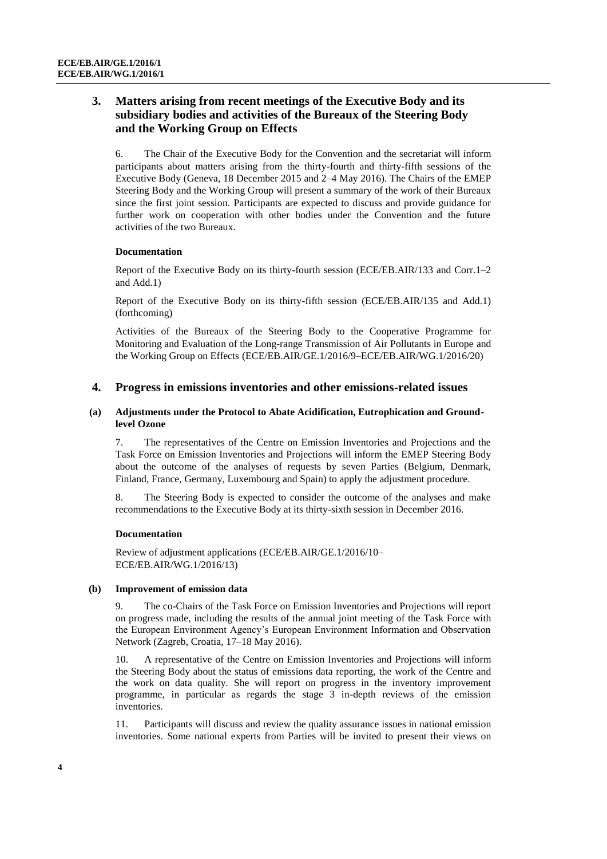## **3. Matters arising from recent meetings of the Executive Body and its subsidiary bodies and activities of the Bureaux of the Steering Body and the Working Group on Effects**

6. The Chair of the Executive Body for the Convention and the secretariat will inform participants about matters arising from the thirty-fourth and thirty-fifth sessions of the Executive Body (Geneva, 18 December 2015 and 2–4 May 2016). The Chairs of the EMEP Steering Body and the Working Group will present a summary of the work of their Bureaux since the first joint session. Participants are expected to discuss and provide guidance for further work on cooperation with other bodies under the Convention and the future activities of the two Bureaux.

#### **Documentation**

Report of the Executive Body on its thirty-fourth session (ECE/EB.AIR/133 and Corr.1–2 and Add.1)

Report of the Executive Body on its thirty-fifth session (ECE/EB.AIR/135 and Add.1) (forthcoming)

Activities of the Bureaux of the Steering Body to the Cooperative Programme for Monitoring and Evaluation of the Long-range Transmission of Air Pollutants in Europe and the Working Group on Effects (ECE/EB.AIR/GE.1/2016/9–ECE/EB.AIR/WG.1/2016/20)

## **4. Progress in emissions inventories and other emissions-related issues**

#### **(a) Adjustments under the Protocol to Abate Acidification, Eutrophication and Groundlevel Ozone**

7. The representatives of the Centre on Emission Inventories and Projections and the Task Force on Emission Inventories and Projections will inform the EMEP Steering Body about the outcome of the analyses of requests by seven Parties (Belgium, Denmark, Finland, France, Germany, Luxembourg and Spain) to apply the adjustment procedure.

8. The Steering Body is expected to consider the outcome of the analyses and make recommendations to the Executive Body at its thirty-sixth session in December 2016.

#### **Documentation**

Review of adjustment applications (ECE/EB.AIR/GE.1/2016/10– ECE/EB.AIR/WG.1/2016/13)

#### **(b) Improvement of emission data**

9. The co-Chairs of the Task Force on Emission Inventories and Projections will report on progress made, including the results of the annual joint meeting of the Task Force with the European Environment Agency's European Environment Information and Observation Network (Zagreb, Croatia, 17–18 May 2016).

10. A representative of the Centre on Emission Inventories and Projections will inform the Steering Body about the status of emissions data reporting, the work of the Centre and the work on data quality. She will report on progress in the inventory improvement programme, in particular as regards the stage 3 in-depth reviews of the emission inventories.

11. Participants will discuss and review the quality assurance issues in national emission inventories. Some national experts from Parties will be invited to present their views on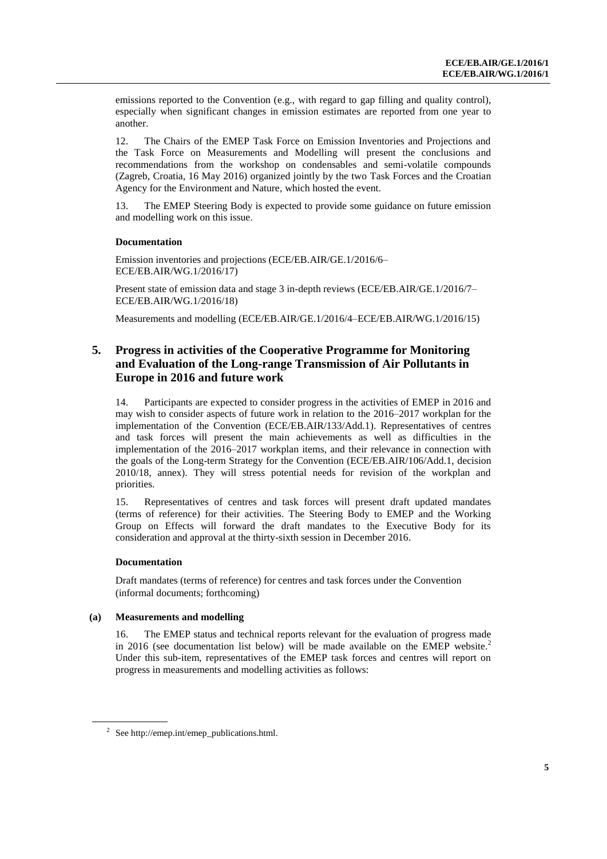emissions reported to the Convention (e.g., with regard to gap filling and quality control), especially when significant changes in emission estimates are reported from one year to another.

12. The Chairs of the EMEP Task Force on Emission Inventories and Projections and the Task Force on Measurements and Modelling will present the conclusions and recommendations from the workshop on condensables and semi-volatile compounds (Zagreb, Croatia, 16 May 2016) organized jointly by the two Task Forces and the Croatian Agency for the Environment and Nature, which hosted the event.

13. The EMEP Steering Body is expected to provide some guidance on future emission and modelling work on this issue.

#### **Documentation**

Emission inventories and projections (ECE/EB.AIR/GE.1/2016/6– ECE/EB.AIR/WG.1/2016/17)

Present state of emission data and stage 3 in-depth reviews (ECE/EB.AIR/GE.1/2016/7– ECE/EB.AIR/WG.1/2016/18)

Measurements and modelling (ECE/EB.AIR/GE.1/2016/4–ECE/EB.AIR/WG.1/2016/15)

## **5. Progress in activities of the Cooperative Programme for Monitoring and Evaluation of the Long-range Transmission of Air Pollutants in Europe in 2016 and future work**

14. Participants are expected to consider progress in the activities of EMEP in 2016 and may wish to consider aspects of future work in relation to the 2016–2017 workplan for the implementation of the Convention (ECE/EB.AIR/133/Add.1). Representatives of centres and task forces will present the main achievements as well as difficulties in the implementation of the 2016–2017 workplan items, and their relevance in connection with the goals of the Long-term Strategy for the Convention (ECE/EB.AIR/106/Add.1, decision 2010/18, annex). They will stress potential needs for revision of the workplan and priorities.

15. Representatives of centres and task forces will present draft updated mandates (terms of reference) for their activities. The Steering Body to EMEP and the Working Group on Effects will forward the draft mandates to the Executive Body for its consideration and approval at the thirty-sixth session in December 2016.

#### **Documentation**

Draft mandates (terms of reference) for centres and task forces under the Convention (informal documents; forthcoming)

#### **(a) Measurements and modelling**

16. The EMEP status and technical reports relevant for the evaluation of progress made in 2016 (see documentation list below) will be made available on the EMEP website. $2$ Under this sub-item, representatives of the EMEP task forces and centres will report on progress in measurements and modelling activities as follows:

<sup>&</sup>lt;sup>2</sup> See [http://emep.int/emep\\_publications.html.](http://emep.int/emep_publications.html)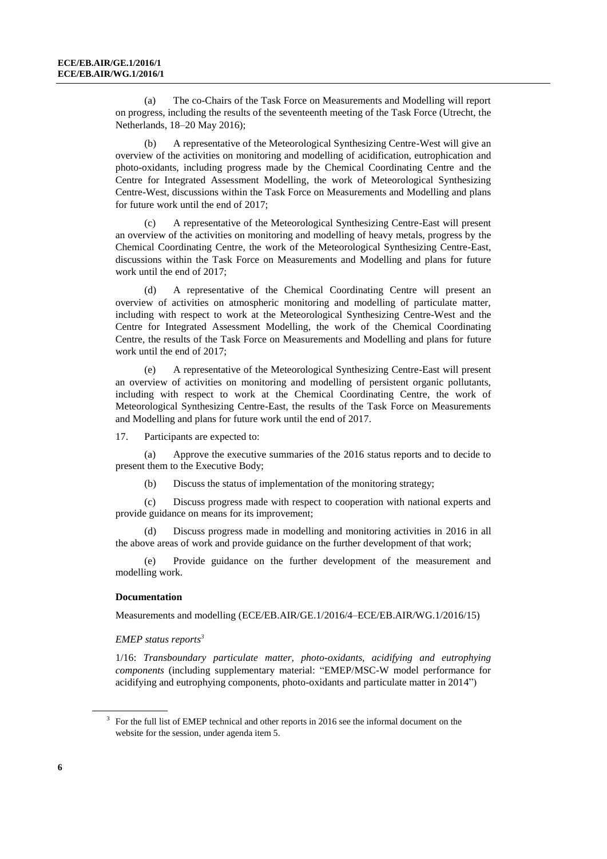(a) The co-Chairs of the Task Force on Measurements and Modelling will report on progress, including the results of the seventeenth meeting of the Task Force (Utrecht, the Netherlands, 18–20 May 2016);

(b) A representative of the Meteorological Synthesizing Centre-West will give an overview of the activities on monitoring and modelling of acidification, eutrophication and photo-oxidants, including progress made by the Chemical Coordinating Centre and the Centre for Integrated Assessment Modelling, the work of Meteorological Synthesizing Centre-West, discussions within the Task Force on Measurements and Modelling and plans for future work until the end of 2017;

(c) A representative of the Meteorological Synthesizing Centre-East will present an overview of the activities on monitoring and modelling of heavy metals, progress by the Chemical Coordinating Centre, the work of the Meteorological Synthesizing Centre-East, discussions within the Task Force on Measurements and Modelling and plans for future work until the end of 2017;

(d) A representative of the Chemical Coordinating Centre will present an overview of activities on atmospheric monitoring and modelling of particulate matter, including with respect to work at the Meteorological Synthesizing Centre-West and the Centre for Integrated Assessment Modelling, the work of the Chemical Coordinating Centre, the results of the Task Force on Measurements and Modelling and plans for future work until the end of 2017;

(e) A representative of the Meteorological Synthesizing Centre-East will present an overview of activities on monitoring and modelling of persistent organic pollutants, including with respect to work at the Chemical Coordinating Centre, the work of Meteorological Synthesizing Centre-East, the results of the Task Force on Measurements and Modelling and plans for future work until the end of 2017.

17. Participants are expected to:

(a) Approve the executive summaries of the 2016 status reports and to decide to present them to the Executive Body;

(b) Discuss the status of implementation of the monitoring strategy;

(c) Discuss progress made with respect to cooperation with national experts and provide guidance on means for its improvement;

(d) Discuss progress made in modelling and monitoring activities in 2016 in all the above areas of work and provide guidance on the further development of that work;

(e) Provide guidance on the further development of the measurement and modelling work.

#### **Documentation**

Measurements and modelling (ECE/EB.AIR/GE.1/2016/4–ECE/EB.AIR/WG.1/2016/15)

#### *EMEP status reports 3*

1/16: *Transboundary particulate matter, photo-oxidants, acidifying and eutrophying components* (including supplementary material: "EMEP/MSC-W model performance for acidifying and eutrophying components, photo-oxidants and particulate matter in 2014")

<sup>&</sup>lt;sup>3</sup> For the full list of EMEP technical and other reports in 2016 see the informal document on the website for the session, under agenda item 5.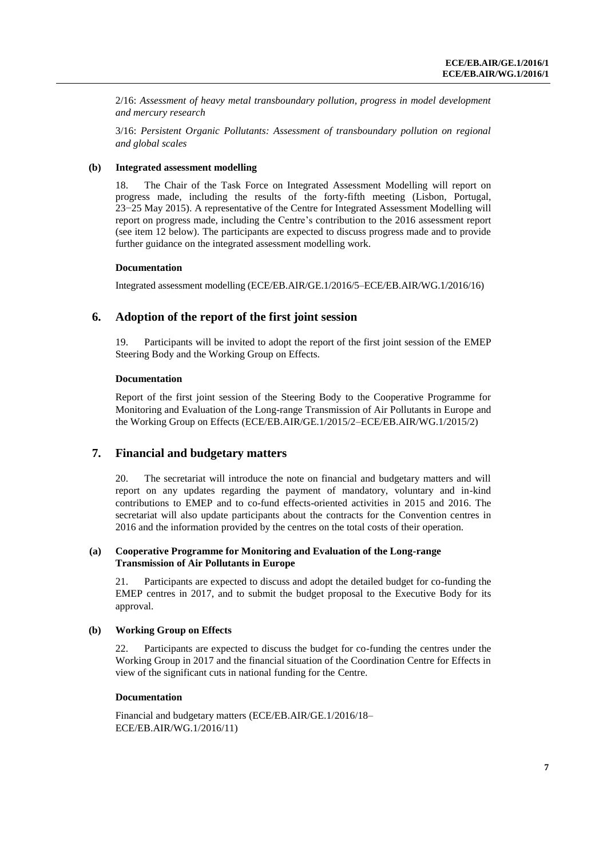2/16: *Assessment of heavy metal transboundary pollution, progress in model development and mercury research*

3/16: *Persistent Organic Pollutants: Assessment of transboundary pollution on regional and global scales*

#### **(b) Integrated assessment modelling**

18. The Chair of the Task Force on Integrated Assessment Modelling will report on progress made, including the results of the forty-fifth meeting (Lisbon, Portugal, 23−25 May 2015). A representative of the Centre for Integrated Assessment Modelling will report on progress made, including the Centre's contribution to the 2016 assessment report (see item 12 below). The participants are expected to discuss progress made and to provide further guidance on the integrated assessment modelling work.

#### **Documentation**

Integrated assessment modelling (ECE/EB.AIR/GE.1/2016/5–ECE/EB.AIR/WG.1/2016/16)

#### **6. Adoption of the report of the first joint session**

19. Participants will be invited to adopt the report of the first joint session of the EMEP Steering Body and the Working Group on Effects.

#### **Documentation**

Report of the first joint session of the Steering Body to the Cooperative Programme for Monitoring and Evaluation of the Long-range Transmission of Air Pollutants in Europe and the Working Group on Effects (ECE/EB.AIR/GE.1/2015/2–ECE/EB.AIR/WG.1/2015/2)

#### **7. Financial and budgetary matters**

20. The secretariat will introduce the note on financial and budgetary matters and will report on any updates regarding the payment of mandatory, voluntary and in-kind contributions to EMEP and to co-fund effects-oriented activities in 2015 and 2016. The secretariat will also update participants about the contracts for the Convention centres in 2016 and the information provided by the centres on the total costs of their operation.

#### **(a) Cooperative Programme for Monitoring and Evaluation of the Long-range Transmission of Air Pollutants in Europe**

21. Participants are expected to discuss and adopt the detailed budget for co-funding the EMEP centres in 2017, and to submit the budget proposal to the Executive Body for its approval.

#### **(b) Working Group on Effects**

22. Participants are expected to discuss the budget for co-funding the centres under the Working Group in 2017 and the financial situation of the Coordination Centre for Effects in view of the significant cuts in national funding for the Centre.

#### **Documentation**

Financial and budgetary matters (ECE/EB.AIR/GE.1/2016/18– ECE/EB.AIR/WG.1/2016/11)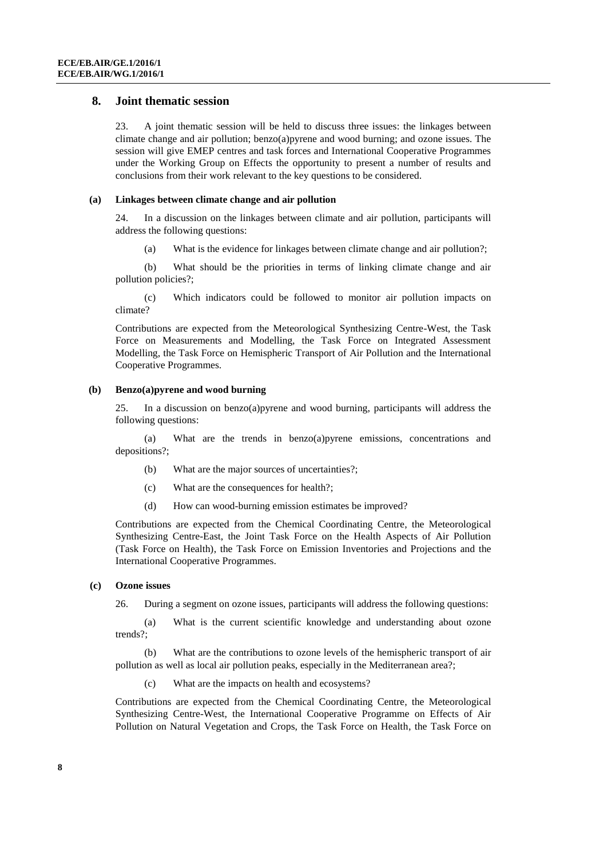#### **8. Joint thematic session**

23. A joint thematic session will be held to discuss three issues: the linkages between climate change and air pollution; benzo(a)pyrene and wood burning; and ozone issues. The session will give EMEP centres and task forces and International Cooperative Programmes under the Working Group on Effects the opportunity to present a number of results and conclusions from their work relevant to the key questions to be considered.

#### **(a) Linkages between climate change and air pollution**

24. In a discussion on the linkages between climate and air pollution, participants will address the following questions:

(a) What is the evidence for linkages between climate change and air pollution?;

(b) What should be the priorities in terms of linking climate change and air pollution policies?;

(c) Which indicators could be followed to monitor air pollution impacts on climate?

Contributions are expected from the Meteorological Synthesizing Centre-West, the Task Force on Measurements and Modelling, the Task Force on Integrated Assessment Modelling, the Task Force on Hemispheric Transport of Air Pollution and the International Cooperative Programmes.

#### **(b) Benzo(a)pyrene and wood burning**

25. In a discussion on benzo(a)pyrene and wood burning, participants will address the following questions:

(a) What are the trends in benzo(a)pyrene emissions, concentrations and depositions?;

- (b) What are the major sources of uncertainties?;
- (c) What are the consequences for health?;
- (d) How can wood-burning emission estimates be improved?

Contributions are expected from the Chemical Coordinating Centre, the Meteorological Synthesizing Centre-East, the Joint Task Force on the Health Aspects of Air Pollution (Task Force on Health), the Task Force on Emission Inventories and Projections and the International Cooperative Programmes.

#### **(c) Ozone issues**

26. During a segment on ozone issues, participants will address the following questions:

(a) What is the current scientific knowledge and understanding about ozone trends?;

(b) What are the contributions to ozone levels of the hemispheric transport of air pollution as well as local air pollution peaks, especially in the Mediterranean area?;

(c) What are the impacts on health and ecosystems?

Contributions are expected from the Chemical Coordinating Centre, the Meteorological Synthesizing Centre-West, the International Cooperative Programme on Effects of Air Pollution on Natural Vegetation and Crops, the Task Force on Health, the Task Force on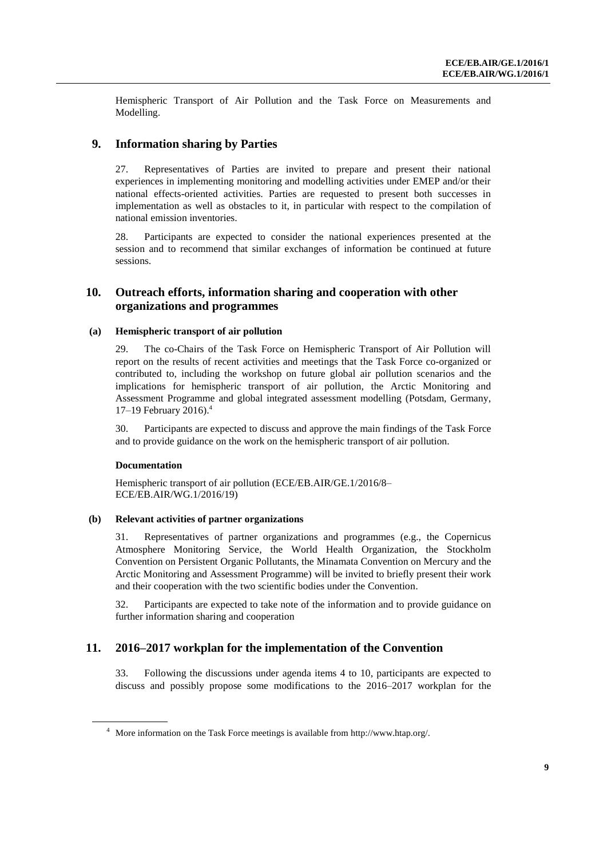Hemispheric Transport of Air Pollution and the Task Force on Measurements and Modelling.

### **9. Information sharing by Parties**

27. Representatives of Parties are invited to prepare and present their national experiences in implementing monitoring and modelling activities under EMEP and/or their national effects-oriented activities. Parties are requested to present both successes in implementation as well as obstacles to it, in particular with respect to the compilation of national emission inventories.

28. Participants are expected to consider the national experiences presented at the session and to recommend that similar exchanges of information be continued at future sessions.

### **10. Outreach efforts, information sharing and cooperation with other organizations and programmes**

#### **(a) Hemispheric transport of air pollution**

29. The co-Chairs of the Task Force on Hemispheric Transport of Air Pollution will report on the results of recent activities and meetings that the Task Force co-organized or contributed to, including the workshop on future global air pollution scenarios and the implications for hemispheric transport of air pollution, the Arctic Monitoring and Assessment Programme and global integrated assessment modelling (Potsdam, Germany, 17–19 February 2016). 4

30. Participants are expected to discuss and approve the main findings of the Task Force and to provide guidance on the work on the hemispheric transport of air pollution.

#### **Documentation**

Hemispheric transport of air pollution (ECE/EB.AIR/GE.1/2016/8– ECE/EB.AIR/WG.1/2016/19)

#### **(b) Relevant activities of partner organizations**

31. Representatives of partner organizations and programmes (e.g., the Copernicus Atmosphere Monitoring Service, the World Health Organization, the Stockholm Convention on Persistent Organic Pollutants, the Minamata Convention on Mercury and the Arctic Monitoring and Assessment Programme) will be invited to briefly present their work and their cooperation with the two scientific bodies under the Convention.

32. Participants are expected to take note of the information and to provide guidance on further information sharing and cooperation

### **11. 2016–2017 workplan for the implementation of the Convention**

33. Following the discussions under agenda items 4 to 10, participants are expected to discuss and possibly propose some modifications to the 2016–2017 workplan for the

<sup>4</sup> More information on the Task Force meetings is available from [http://www.htap.org/.](http://www.htap.org/)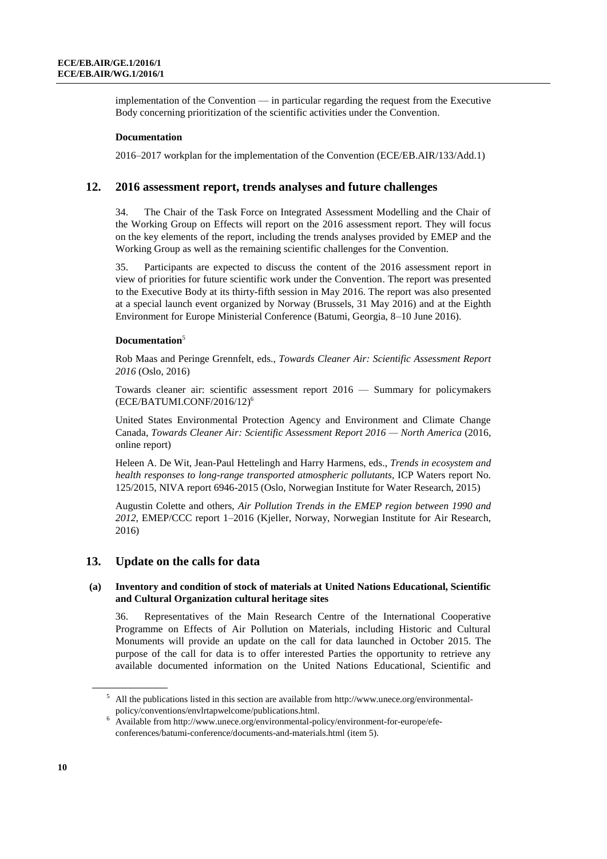implementation of the Convention — in particular regarding the request from the Executive Body concerning prioritization of the scientific activities under the Convention.

#### **Documentation**

2016–2017 workplan for the implementation of the Convention (ECE/EB.AIR/133/Add.1)

#### **12. 2016 assessment report, trends analyses and future challenges**

34. The Chair of the Task Force on Integrated Assessment Modelling and the Chair of the Working Group on Effects will report on the 2016 assessment report. They will focus on the key elements of the report, including the trends analyses provided by EMEP and the Working Group as well as the remaining scientific challenges for the Convention.

35. Participants are expected to discuss the content of the 2016 assessment report in view of priorities for future scientific work under the Convention. The report was presented to the Executive Body at its thirty-fifth session in May 2016. The report was also presented at a special launch event organized by Norway (Brussels, 31 May 2016) and at the Eighth Environment for Europe Ministerial Conference (Batumi, Georgia, 8–10 June 2016).

#### **Documentation**<sup>5</sup>

Rob Maas and Peringe Grennfelt, eds., *Towards Cleaner Air: Scientific Assessment Report 2016* (Oslo, 2016)

Towards cleaner air: scientific assessment report 2016 — Summary for policymakers (ECE/BATUMI.CONF/2016/12) 6

United States Environmental Protection Agency and Environment and Climate Change Canada, *Towards Cleaner Air: Scientific Assessment Report 2016 — North America* (2016, online report)

Heleen A. De Wit, Jean-Paul Hettelingh and Harry Harmens, eds., *Trends in ecosystem and health responses to long-range transported atmospheric pollutants*, ICP Waters report No. 125/2015, NIVA report 6946-2015 (Oslo, Norwegian Institute for Water Research, 2015)

Augustin Colette and others, *Air Pollution Trends in the EMEP region between 1990 and 2012*, EMEP/CCC report 1–2016 (Kjeller, Norway, Norwegian Institute for Air Research, 2016)

#### **13. Update on the calls for data**

#### **(a) Inventory and condition of stock of materials at United Nations Educational, Scientific and Cultural Organization cultural heritage sites**

36. Representatives of the Main Research Centre of the International Cooperative Programme on Effects of Air Pollution on Materials, including Historic and Cultural Monuments will provide an update on the call for data launched in October 2015. The purpose of the call for data is to offer interested Parties the opportunity to retrieve any available documented information on the United Nations Educational, Scientific and

 $<sup>5</sup>$  All the publications listed in this section are available from http://www.unece.org/environmental-</sup> [policy/conventions/envlrtapwelcome/publications.html.](http://www.unece.org/environmental-policy/conventions/envlrtapwelcome/publications.html)

<sup>6</sup> Available fro[m http://www.unece.org/environmental-policy/environment-for-europe/efe](http://www.unece.org/environmental-policy/environment-for-europe/efe-conferences/batumi-conference/documents-and-materials.html)[conferences/batumi-conference/documents-and-materials.html](http://www.unece.org/environmental-policy/environment-for-europe/efe-conferences/batumi-conference/documents-and-materials.html) (item 5).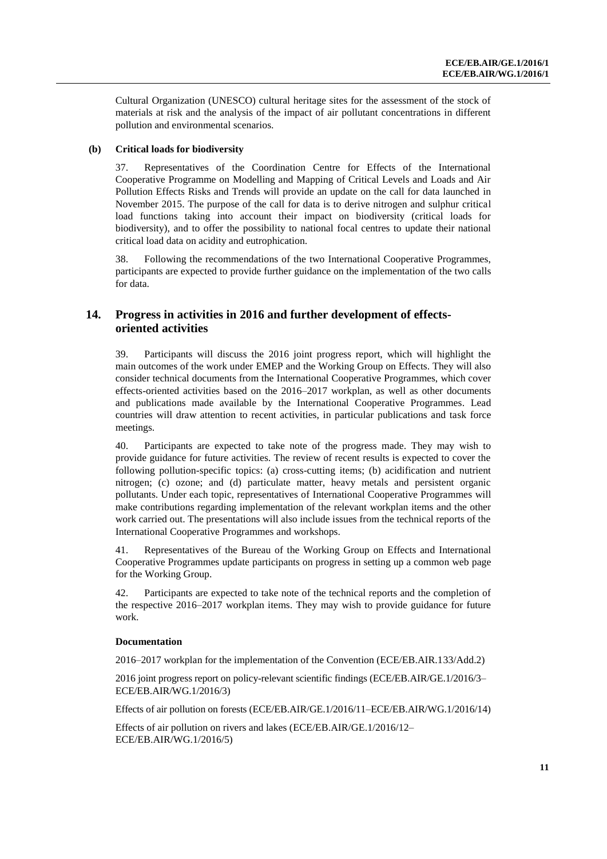Cultural Organization (UNESCO) cultural heritage sites for the assessment of the stock of materials at risk and the analysis of the impact of air pollutant concentrations in different pollution and environmental scenarios.

#### **(b) Critical loads for biodiversity**

37. Representatives of the Coordination Centre for Effects of the International Cooperative Programme on Modelling and Mapping of Critical Levels and Loads and Air Pollution Effects Risks and Trends will provide an update on the call for data launched in November 2015. The purpose of the call for data is to derive nitrogen and sulphur critical load functions taking into account their impact on biodiversity (critical loads for biodiversity), and to offer the possibility to national focal centres to update their national critical load data on acidity and eutrophication.

38. Following the recommendations of the two International Cooperative Programmes, participants are expected to provide further guidance on the implementation of the two calls for data.

## **14. Progress in activities in 2016 and further development of effectsoriented activities**

39. Participants will discuss the 2016 joint progress report, which will highlight the main outcomes of the work under EMEP and the Working Group on Effects. They will also consider technical documents from the International Cooperative Programmes, which cover effects-oriented activities based on the 2016–2017 workplan, as well as other documents and publications made available by the International Cooperative Programmes. Lead countries will draw attention to recent activities, in particular publications and task force meetings.

40. Participants are expected to take note of the progress made. They may wish to provide guidance for future activities. The review of recent results is expected to cover the following pollution-specific topics: (a) cross-cutting items; (b) acidification and nutrient nitrogen; (c) ozone; and (d) particulate matter, heavy metals and persistent organic pollutants. Under each topic, representatives of International Cooperative Programmes will make contributions regarding implementation of the relevant workplan items and the other work carried out. The presentations will also include issues from the technical reports of the International Cooperative Programmes and workshops.

41. Representatives of the Bureau of the Working Group on Effects and International Cooperative Programmes update participants on progress in setting up a common web page for the Working Group.

42. Participants are expected to take note of the technical reports and the completion of the respective 2016–2017 workplan items. They may wish to provide guidance for future work.

#### **Documentation**

2016–2017 workplan for the implementation of the Convention (ECE/EB.AIR.133/Add.2)

2016 joint progress report on policy-relevant scientific findings (ECE/EB.AIR/GE.1/2016/3– ECE/EB.AIR/WG.1/2016/3)

Effects of air pollution on forests (ECE/EB.AIR/GE.1/2016/11–ECE/EB.AIR/WG.1/2016/14)

Effects of air pollution on rivers and lakes (ECE/EB.AIR/GE.1/2016/12– ECE/EB.AIR/WG.1/2016/5)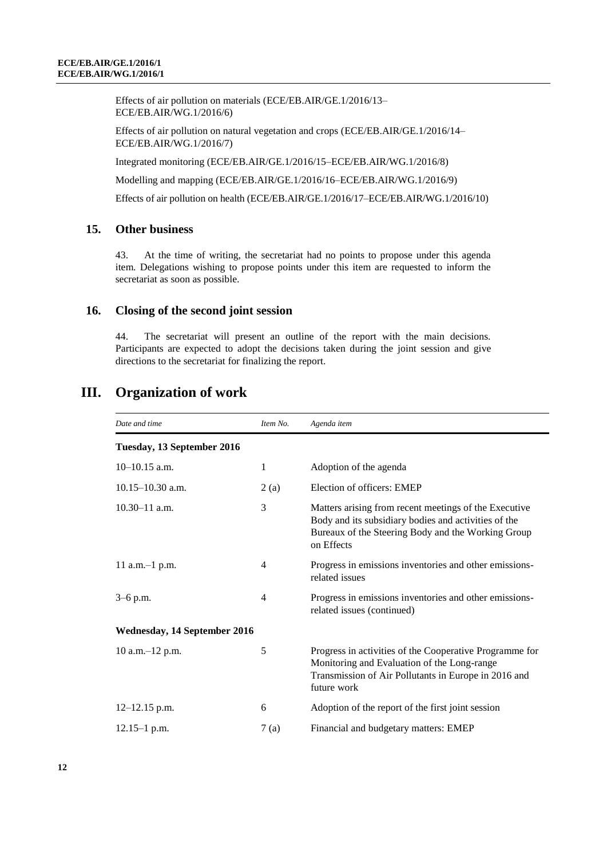Effects of air pollution on materials (ECE/EB.AIR/GE.1/2016/13– ECE/EB.AIR/WG.1/2016/6)

Effects of air pollution on natural vegetation and crops (ECE/EB.AIR/GE.1/2016/14– ECE/EB.AIR/WG.1/2016/7)

Integrated monitoring (ECE/EB.AIR/GE.1/2016/15–ECE/EB.AIR/WG.1/2016/8)

Modelling and mapping (ECE/EB.AIR/GE.1/2016/16–ECE/EB.AIR/WG.1/2016/9)

Effects of air pollution on health (ECE/EB.AIR/GE.1/2016/17–ECE/EB.AIR/WG.1/2016/10)

## **15. Other business**

43. At the time of writing, the secretariat had no points to propose under this agenda item. Delegations wishing to propose points under this item are requested to inform the secretariat as soon as possible.

## **16. Closing of the second joint session**

44. The secretariat will present an outline of the report with the main decisions. Participants are expected to adopt the decisions taken during the joint session and give directions to the secretariat for finalizing the report.

| Date and time                | Item No. | Agenda item                                                                                                                                                                       |
|------------------------------|----------|-----------------------------------------------------------------------------------------------------------------------------------------------------------------------------------|
| Tuesday, 13 September 2016   |          |                                                                                                                                                                                   |
| $10-10.15$ a.m.              | 1        | Adoption of the agenda                                                                                                                                                            |
| $10.15 - 10.30$ a.m.         | 2(a)     | Election of officers: EMEP                                                                                                                                                        |
| $10.30 - 11$ a.m.            | 3        | Matters arising from recent meetings of the Executive<br>Body and its subsidiary bodies and activities of the<br>Bureaux of the Steering Body and the Working Group<br>on Effects |
| $11$ a.m. $-1$ p.m.          | 4        | Progress in emissions inventories and other emissions-<br>related issues                                                                                                          |
| $3-6$ p.m.                   | 4        | Progress in emissions inventories and other emissions-<br>related issues (continued)                                                                                              |
| Wednesday, 14 September 2016 |          |                                                                                                                                                                                   |
| $10$ a.m. $-12$ p.m.         | 5        | Progress in activities of the Cooperative Programme for<br>Monitoring and Evaluation of the Long-range<br>Transmission of Air Pollutants in Europe in 2016 and<br>future work     |
| $12 - 12.15$ p.m.            | 6        | Adoption of the report of the first joint session                                                                                                                                 |
| $12.15 - 1$ p.m.             | 7(a)     | Financial and budgetary matters: EMEP                                                                                                                                             |

## **III. Organization of work**